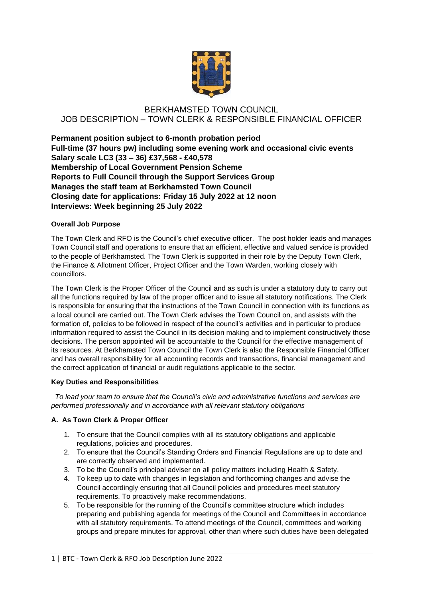

# BERKHAMSTED TOWN COUNCIL JOB DESCRIPTION – TOWN CLERK & RESPONSIBLE FINANCIAL OFFICER

**Permanent position subject to 6-month probation period Full-time (37 hours pw) including some evening work and occasional civic events Salary scale LC3 (33 – 36) £37,568 - £40,578 Membership of Local Government Pension Scheme Reports to Full Council through the Support Services Group Manages the staff team at Berkhamsted Town Council Closing date for applications: Friday 15 July 2022 at 12 noon Interviews: Week beginning 25 July 2022**

# **Overall Job Purpose**

The Town Clerk and RFO is the Council's chief executive officer. The post holder leads and manages Town Council staff and operations to ensure that an efficient, effective and valued service is provided to the people of Berkhamsted. The Town Clerk is supported in their role by the Deputy Town Clerk, the Finance & Allotment Officer, Project Officer and the Town Warden, working closely with councillors.

The Town Clerk is the Proper Officer of the Council and as such is under a statutory duty to carry out all the functions required by law of the proper officer and to issue all statutory notifications. The Clerk is responsible for ensuring that the instructions of the Town Council in connection with its functions as a local council are carried out. The Town Clerk advises the Town Council on, and assists with the formation of, policies to be followed in respect of the council's activities and in particular to produce information required to assist the Council in its decision making and to implement constructively those decisions. The person appointed will be accountable to the Council for the effective management of its resources. At Berkhamsted Town Council the Town Clerk is also the Responsible Financial Officer and has overall responsibility for all accounting records and transactions, financial management and the correct application of financial or audit regulations applicable to the sector.

### **Key Duties and Responsibilities**

 *To lead your team to ensure that the Council's civic and administrative functions and services are performed professionally and in accordance with all relevant statutory obligations*

### **A. As Town Clerk & Proper Officer**

- 1. To ensure that the Council complies with all its statutory obligations and applicable regulations, policies and procedures.
- 2. To ensure that the Council's Standing Orders and Financial Regulations are up to date and are correctly observed and implemented.
- 3. To be the Council's principal adviser on all policy matters including Health & Safety.
- 4. To keep up to date with changes in legislation and forthcoming changes and advise the Council accordingly ensuring that all Council policies and procedures meet statutory requirements. To proactively make recommendations.
- 5. To be responsible for the running of the Council's committee structure which includes preparing and publishing agenda for meetings of the Council and Committees in accordance with all statutory requirements. To attend meetings of the Council, committees and working groups and prepare minutes for approval, other than where such duties have been delegated